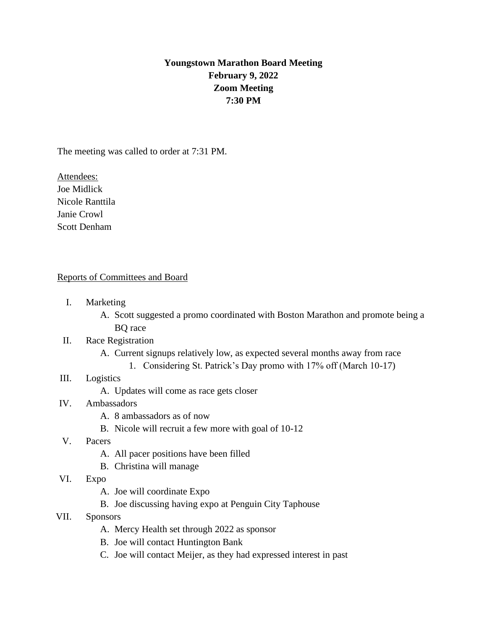# **Youngstown Marathon Board Meeting February 9, 2022 Zoom Meeting 7:30 PM**

The meeting was called to order at 7:31 PM.

Attendees: Joe Midlick Nicole Ranttila Janie Crowl Scott Denham

## Reports of Committees and Board

- I. Marketing
	- A. Scott suggested a promo coordinated with Boston Marathon and promote being a BQ race

## II. Race Registration

- A. Current signups relatively low, as expected several months away from race
	- 1. Considering St. Patrick's Day promo with 17% off (March 10-17)
- III. Logistics
	- A. Updates will come as race gets closer
- IV. Ambassadors
	- A. 8 ambassadors as of now
	- B. Nicole will recruit a few more with goal of 10-12
- V. Pacers
	- A. All pacer positions have been filled
	- B. Christina will manage
- VI. Expo
	- A. Joe will coordinate Expo
	- B. Joe discussing having expo at Penguin City Taphouse
- VII. Sponsors
	- A. Mercy Health set through 2022 as sponsor
	- B. Joe will contact Huntington Bank
	- C. Joe will contact Meijer, as they had expressed interest in past